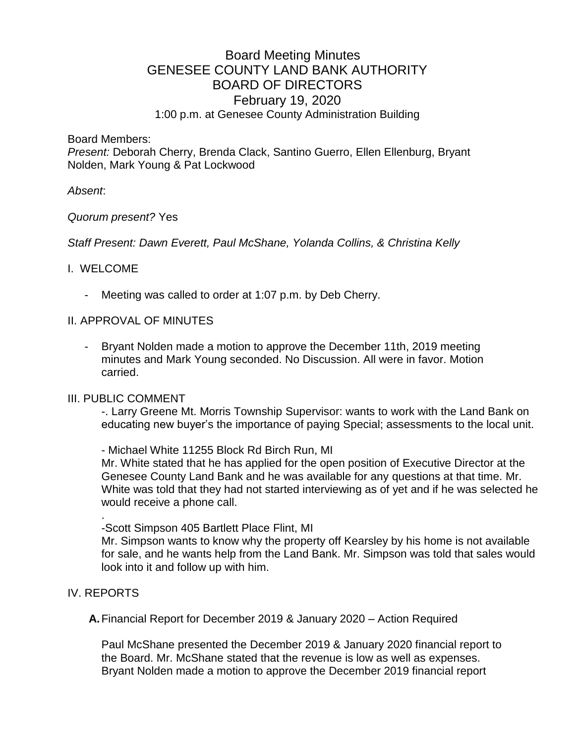# Board Meeting Minutes GENESEE COUNTY LAND BANK AUTHORITY BOARD OF DIRECTORS February 19, 2020 1:00 p.m. at Genesee County Administration Building

Board Members:

*Present:* Deborah Cherry, Brenda Clack, Santino Guerro, Ellen Ellenburg, Bryant Nolden, Mark Young & Pat Lockwood

## *Absent*:

## *Quorum present?* Yes

*Staff Present: Dawn Everett, Paul McShane, Yolanda Collins, & Christina Kelly*

# I. WELCOME

Meeting was called to order at 1:07 p.m. by Deb Cherry.

# II. APPROVAL OF MINUTES

Bryant Nolden made a motion to approve the December 11th, 2019 meeting minutes and Mark Young seconded. No Discussion. All were in favor. Motion carried.

## III. PUBLIC COMMENT

-. Larry Greene Mt. Morris Township Supervisor: wants to work with the Land Bank on educating new buyer's the importance of paying Special; assessments to the local unit.

- Michael White 11255 Block Rd Birch Run, MI

Mr. White stated that he has applied for the open position of Executive Director at the Genesee County Land Bank and he was available for any questions at that time. Mr. White was told that they had not started interviewing as of yet and if he was selected he would receive a phone call.

. -Scott Simpson 405 Bartlett Place Flint, MI

Mr. Simpson wants to know why the property off Kearsley by his home is not available for sale, and he wants help from the Land Bank. Mr. Simpson was told that sales would look into it and follow up with him.

# IV. REPORTS

**A.**Financial Report for December 2019 & January 2020 – Action Required

Paul McShane presented the December 2019 & January 2020 financial report to the Board. Mr. McShane stated that the revenue is low as well as expenses. Bryant Nolden made a motion to approve the December 2019 financial report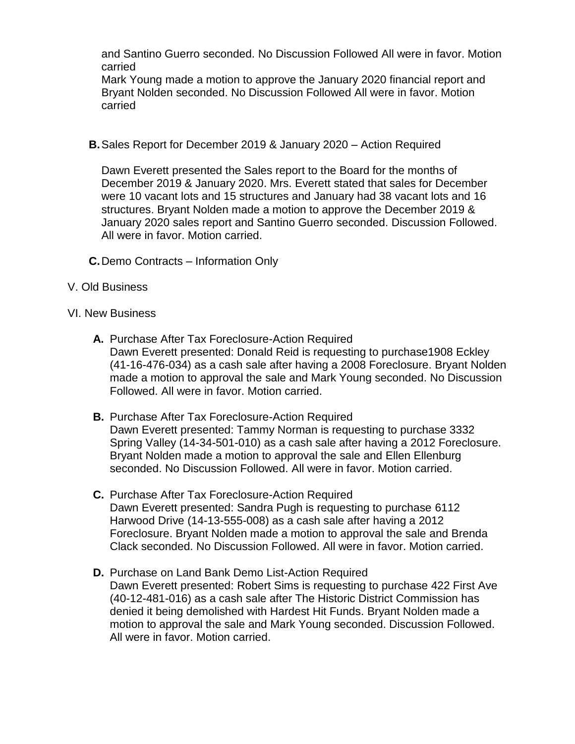and Santino Guerro seconded. No Discussion Followed All were in favor. Motion carried

Mark Young made a motion to approve the January 2020 financial report and Bryant Nolden seconded. No Discussion Followed All were in favor. Motion carried

**B.**Sales Report for December 2019 & January 2020 – Action Required

Dawn Everett presented the Sales report to the Board for the months of December 2019 & January 2020. Mrs. Everett stated that sales for December were 10 vacant lots and 15 structures and January had 38 vacant lots and 16 structures. Bryant Nolden made a motion to approve the December 2019 & January 2020 sales report and Santino Guerro seconded. Discussion Followed. All were in favor. Motion carried.

- **C.**Demo Contracts Information Only
- V. Old Business

## VI. New Business

- **A.** Purchase After Tax Foreclosure-Action Required Dawn Everett presented: Donald Reid is requesting to purchase1908 Eckley (41-16-476-034) as a cash sale after having a 2008 Foreclosure. Bryant Nolden made a motion to approval the sale and Mark Young seconded. No Discussion Followed. All were in favor. Motion carried.
- **B.** Purchase After Tax Foreclosure-Action Required Dawn Everett presented: Tammy Norman is requesting to purchase 3332 Spring Valley (14-34-501-010) as a cash sale after having a 2012 Foreclosure. Bryant Nolden made a motion to approval the sale and Ellen Ellenburg seconded. No Discussion Followed. All were in favor. Motion carried.
- **C.** Purchase After Tax Foreclosure-Action Required Dawn Everett presented: Sandra Pugh is requesting to purchase 6112 Harwood Drive (14-13-555-008) as a cash sale after having a 2012 Foreclosure. Bryant Nolden made a motion to approval the sale and Brenda Clack seconded. No Discussion Followed. All were in favor. Motion carried.
- **D.** Purchase on Land Bank Demo List-Action Required Dawn Everett presented: Robert Sims is requesting to purchase 422 First Ave (40-12-481-016) as a cash sale after The Historic District Commission has denied it being demolished with Hardest Hit Funds. Bryant Nolden made a motion to approval the sale and Mark Young seconded. Discussion Followed. All were in favor. Motion carried.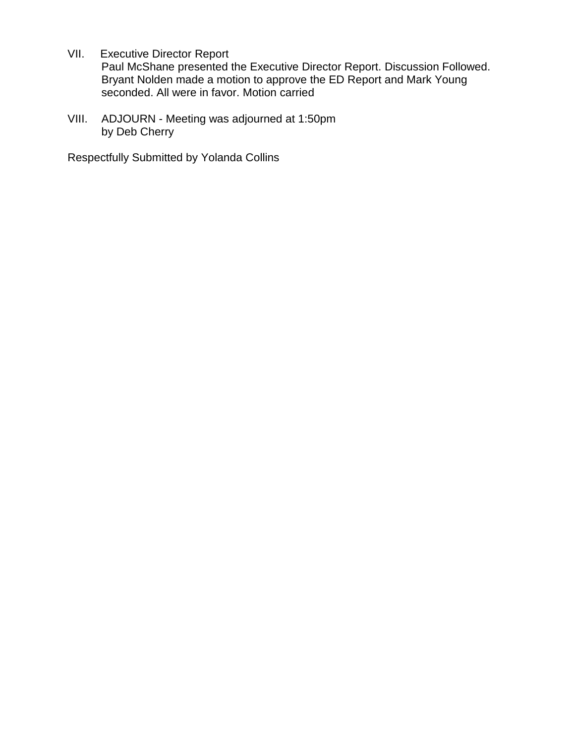VII. Executive Director Report

Paul McShane presented the Executive Director Report. Discussion Followed. Bryant Nolden made a motion to approve the ED Report and Mark Young seconded. All were in favor. Motion carried

VIII. ADJOURN - Meeting was adjourned at 1:50pm by Deb Cherry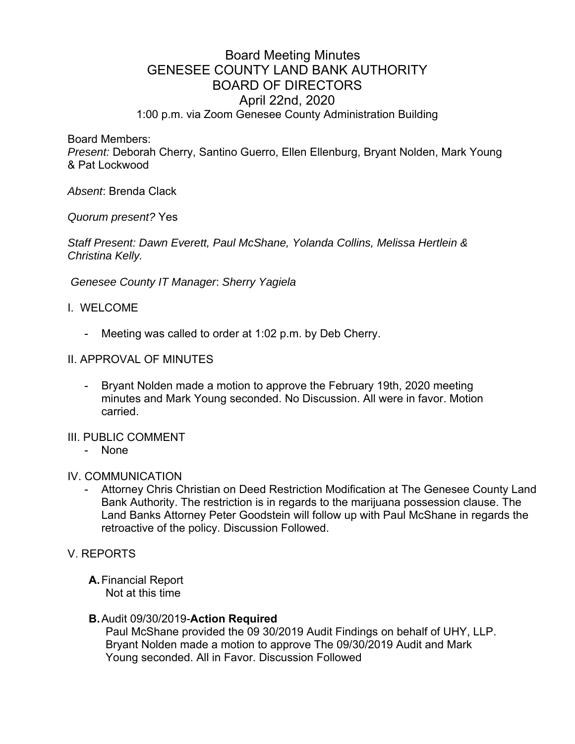# Board Meeting Minutes GENESEE COUNTY LAND BANK AUTHORITY BOARD OF DIRECTORS April 22nd, 2020 1:00 p.m. via Zoom Genesee County Administration Building

Board Members:

*Present:* Deborah Cherry, Santino Guerro, Ellen Ellenburg, Bryant Nolden, Mark Young & Pat Lockwood

*Absent*: Brenda Clack

*Quorum present?* Yes

*Staff Present: Dawn Everett, Paul McShane, Yolanda Collins, Melissa Hertlein & Christina Kelly.* 

 *Genesee County IT Manager*: *Sherry Yagiela*

- I. WELCOME
	- Meeting was called to order at 1:02 p.m. by Deb Cherry.
- II. APPROVAL OF MINUTES
	- Bryant Nolden made a motion to approve the February 19th, 2020 meeting minutes and Mark Young seconded. No Discussion. All were in favor. Motion carried.
- III. PUBLIC COMMENT
	- None

### IV. COMMUNICATION

- Attorney Chris Christian on Deed Restriction Modification at The Genesee County Land Bank Authority. The restriction is in regards to the marijuana possession clause. The Land Banks Attorney Peter Goodstein will follow up with Paul McShane in regards the retroactive of the policy. Discussion Followed.

V. REPORTS

**A.** Financial Report Not at this time

## **B.** Audit 09/30/2019-**Action Required**

Paul McShane provided the 09 30/2019 Audit Findings on behalf of UHY, LLP. Bryant Nolden made a motion to approve The 09/30/2019 Audit and Mark Young seconded. All in Favor. Discussion Followed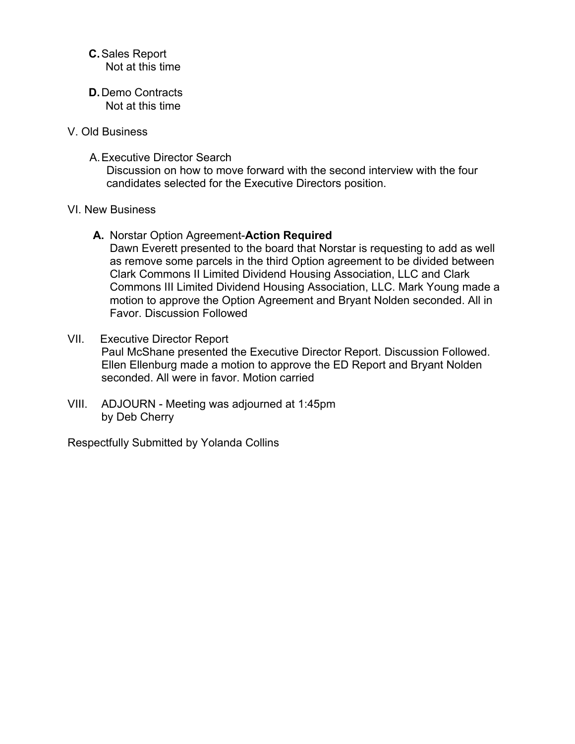## **C.** Sales Report Not at this time

- **D.** Demo Contracts Not at this time
- V. Old Business
	- A. Executive Director Search

Discussion on how to move forward with the second interview with the four candidates selected for the Executive Directors position.

### VI. New Business

- **A.** Norstar Option Agreement-**Action Required**  Dawn Everett presented to the board that Norstar is requesting to add as well as remove some parcels in the third Option agreement to be divided between Clark Commons II Limited Dividend Housing Association, LLC and Clark Commons III Limited Dividend Housing Association, LLC. Mark Young made a motion to approve the Option Agreement and Bryant Nolden seconded. All in Favor. Discussion Followed
- VII. Executive Director Report Paul McShane presented the Executive Director Report. Discussion Followed. Ellen Ellenburg made a motion to approve the ED Report and Bryant Nolden seconded. All were in favor. Motion carried
- VIII. ADJOURN Meeting was adjourned at 1:45pm by Deb Cherry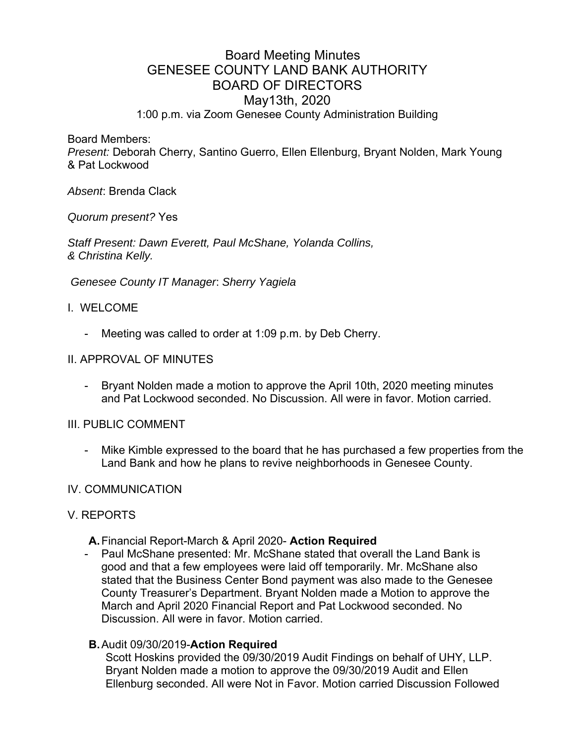# Board Meeting Minutes GENESEE COUNTY LAND BANK AUTHORITY BOARD OF DIRECTORS May13th, 2020 1:00 p.m. via Zoom Genesee County Administration Building

Board Members:

*Present:* Deborah Cherry, Santino Guerro, Ellen Ellenburg, Bryant Nolden, Mark Young & Pat Lockwood

*Absent*: Brenda Clack

*Quorum present?* Yes

*Staff Present: Dawn Everett, Paul McShane, Yolanda Collins, & Christina Kelly.* 

 *Genesee County IT Manager*: *Sherry Yagiela*

### I. WELCOME

- Meeting was called to order at 1:09 p.m. by Deb Cherry.

#### II. APPROVAL OF MINUTES

- Bryant Nolden made a motion to approve the April 10th, 2020 meeting minutes and Pat Lockwood seconded. No Discussion. All were in favor. Motion carried.

### III. PUBLIC COMMENT

Mike Kimble expressed to the board that he has purchased a few properties from the Land Bank and how he plans to revive neighborhoods in Genesee County.

### IV. COMMUNICATION

### V. REPORTS

- **A.** Financial Report-March & April 2020- **Action Required**
- Paul McShane presented: Mr. McShane stated that overall the Land Bank is good and that a few employees were laid off temporarily. Mr. McShane also stated that the Business Center Bond payment was also made to the Genesee County Treasurer's Department. Bryant Nolden made a Motion to approve the March and April 2020 Financial Report and Pat Lockwood seconded. No Discussion. All were in favor. Motion carried.

### **B.** Audit 09/30/2019-**Action Required**

Scott Hoskins provided the 09/30/2019 Audit Findings on behalf of UHY, LLP. Bryant Nolden made a motion to approve the 09/30/2019 Audit and Ellen Ellenburg seconded. All were Not in Favor. Motion carried Discussion Followed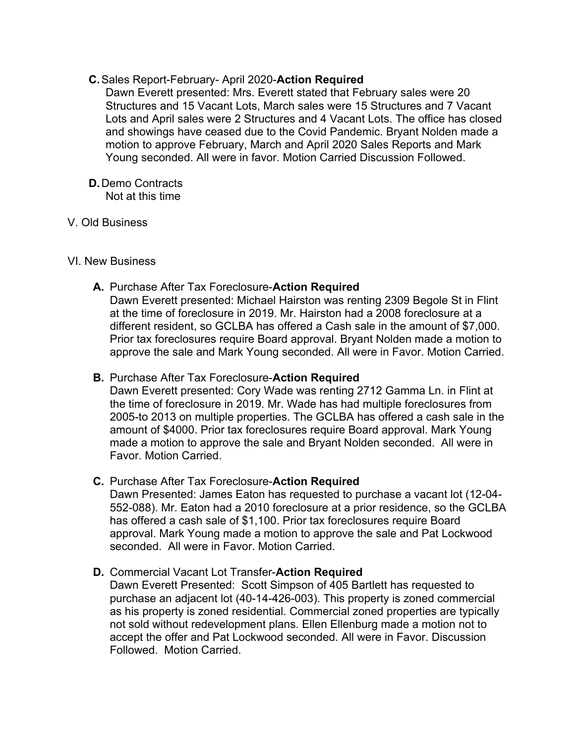# **C.** Sales Report-February- April 2020-**Action Required**

Dawn Everett presented: Mrs. Everett stated that February sales were 20 Structures and 15 Vacant Lots, March sales were 15 Structures and 7 Vacant Lots and April sales were 2 Structures and 4 Vacant Lots. The office has closed and showings have ceased due to the Covid Pandemic. Bryant Nolden made a motion to approve February, March and April 2020 Sales Reports and Mark Young seconded. All were in favor. Motion Carried Discussion Followed.

#### **D.** Demo Contracts Not at this time

## V. Old Business

### VI. New Business

**A.** Purchase After Tax Foreclosure-**Action Required** 

Dawn Everett presented: Michael Hairston was renting 2309 Begole St in Flint at the time of foreclosure in 2019. Mr. Hairston had a 2008 foreclosure at a different resident, so GCLBA has offered a Cash sale in the amount of \$7,000. Prior tax foreclosures require Board approval. Bryant Nolden made a motion to approve the sale and Mark Young seconded. All were in Favor. Motion Carried.

### **B.** Purchase After Tax Foreclosure-**Action Required**

Dawn Everett presented: Cory Wade was renting 2712 Gamma Ln. in Flint at the time of foreclosure in 2019. Mr. Wade has had multiple foreclosures from 2005-to 2013 on multiple properties. The GCLBA has offered a cash sale in the amount of \$4000. Prior tax foreclosures require Board approval. Mark Young made a motion to approve the sale and Bryant Nolden seconded. All were in Favor. Motion Carried.

## **C.** Purchase After Tax Foreclosure-**Action Required**

Dawn Presented: James Eaton has requested to purchase a vacant lot (12-04- 552-088). Mr. Eaton had a 2010 foreclosure at a prior residence, so the GCLBA has offered a cash sale of \$1,100. Prior tax foreclosures require Board approval. Mark Young made a motion to approve the sale and Pat Lockwood seconded. All were in Favor. Motion Carried.

## **D.** Commercial Vacant Lot Transfer-**Action Required**

Dawn Everett Presented: Scott Simpson of 405 Bartlett has requested to purchase an adjacent lot (40-14-426-003). This property is zoned commercial as his property is zoned residential. Commercial zoned properties are typically not sold without redevelopment plans. Ellen Ellenburg made a motion not to accept the offer and Pat Lockwood seconded. All were in Favor. Discussion Followed. Motion Carried.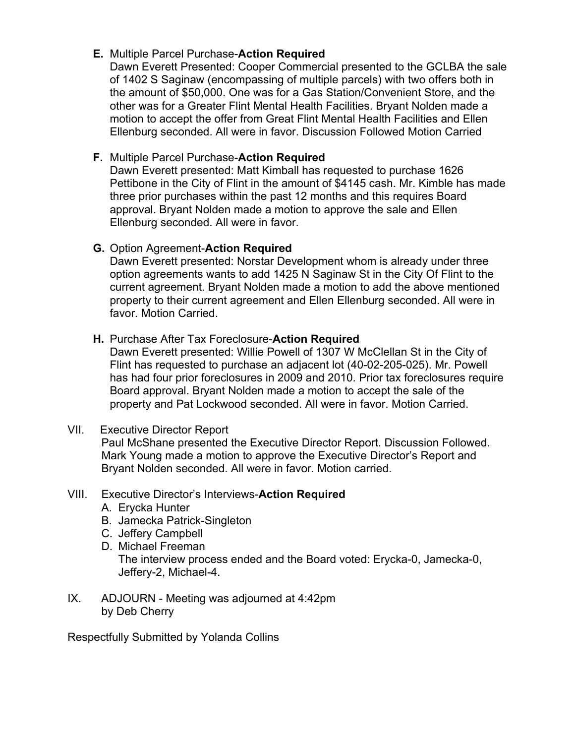# **E.** Multiple Parcel Purchase-**Action Required**

Dawn Everett Presented: Cooper Commercial presented to the GCLBA the sale of 1402 S Saginaw (encompassing of multiple parcels) with two offers both in the amount of \$50,000. One was for a Gas Station/Convenient Store, and the other was for a Greater Flint Mental Health Facilities. Bryant Nolden made a motion to accept the offer from Great Flint Mental Health Facilities and Ellen Ellenburg seconded. All were in favor. Discussion Followed Motion Carried

# **F.** Multiple Parcel Purchase-**Action Required**

Dawn Everett presented: Matt Kimball has requested to purchase 1626 Pettibone in the City of Flint in the amount of \$4145 cash. Mr. Kimble has made three prior purchases within the past 12 months and this requires Board approval. Bryant Nolden made a motion to approve the sale and Ellen Ellenburg seconded. All were in favor.

# **G.** Option Agreement-**Action Required**

Dawn Everett presented: Norstar Development whom is already under three option agreements wants to add 1425 N Saginaw St in the City Of Flint to the current agreement. Bryant Nolden made a motion to add the above mentioned property to their current agreement and Ellen Ellenburg seconded. All were in favor. Motion Carried.

# **H.** Purchase After Tax Foreclosure-**Action Required**

Dawn Everett presented: Willie Powell of 1307 W McClellan St in the City of Flint has requested to purchase an adjacent lot (40-02-205-025). Mr. Powell has had four prior foreclosures in 2009 and 2010. Prior tax foreclosures require Board approval. Bryant Nolden made a motion to accept the sale of the property and Pat Lockwood seconded. All were in favor. Motion Carried.

# VII. Executive Director Report

Paul McShane presented the Executive Director Report. Discussion Followed. Mark Young made a motion to approve the Executive Director's Report and Bryant Nolden seconded. All were in favor. Motion carried.

# VIII. Executive Director's Interviews-**Action Required**

- A. Erycka Hunter
- B. Jamecka Patrick-Singleton
- C. Jeffery Campbell
- D. Michael Freeman The interview process ended and the Board voted: Erycka-0, Jamecka-0, Jeffery-2, Michael-4.
- IX. ADJOURN Meeting was adjourned at 4:42pm by Deb Cherry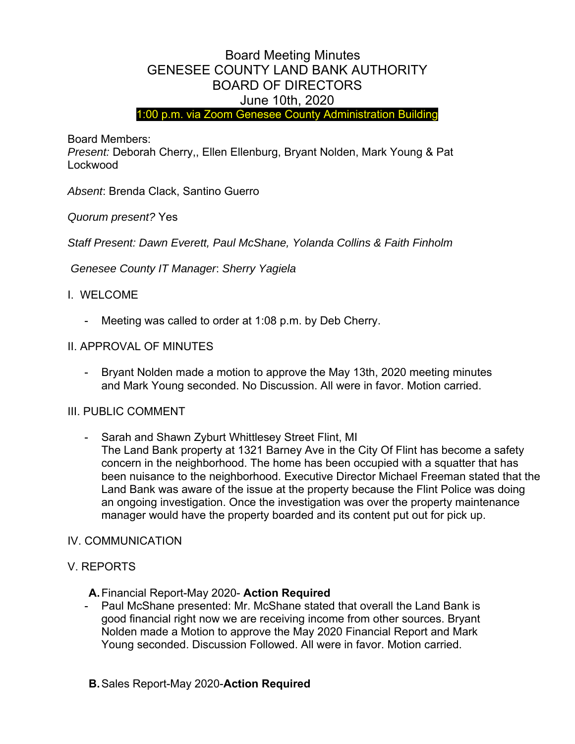# Board Meeting Minutes GENESEE COUNTY LAND BANK AUTHORITY BOARD OF DIRECTORS June 10th, 2020

1:00 p.m. via Zoom Genesee County Administration Building

Board Members:

*Present:* Deborah Cherry,, Ellen Ellenburg, Bryant Nolden, Mark Young & Pat Lockwood

*Absent*: Brenda Clack, Santino Guerro

*Quorum present?* Yes

*Staff Present: Dawn Everett, Paul McShane, Yolanda Collins & Faith Finholm* 

 *Genesee County IT Manager*: *Sherry Yagiela*

# I. WELCOME

Meeting was called to order at 1:08 p.m. by Deb Cherry.

# II. APPROVAL OF MINUTES

- Bryant Nolden made a motion to approve the May 13th, 2020 meeting minutes and Mark Young seconded. No Discussion. All were in favor. Motion carried.

## III. PUBLIC COMMENT

- Sarah and Shawn Zyburt Whittlesey Street Flint, MI The Land Bank property at 1321 Barney Ave in the City Of Flint has become a safety concern in the neighborhood. The home has been occupied with a squatter that has been nuisance to the neighborhood. Executive Director Michael Freeman stated that the Land Bank was aware of the issue at the property because the Flint Police was doing an ongoing investigation. Once the investigation was over the property maintenance manager would have the property boarded and its content put out for pick up.

## IV. COMMUNICATION

## V. REPORTS

- **A.** Financial Report-May 2020- **Action Required**
- Paul McShane presented: Mr. McShane stated that overall the Land Bank is good financial right now we are receiving income from other sources. Bryant Nolden made a Motion to approve the May 2020 Financial Report and Mark Young seconded. Discussion Followed. All were in favor. Motion carried.
- **B.** Sales Report-May 2020-**Action Required**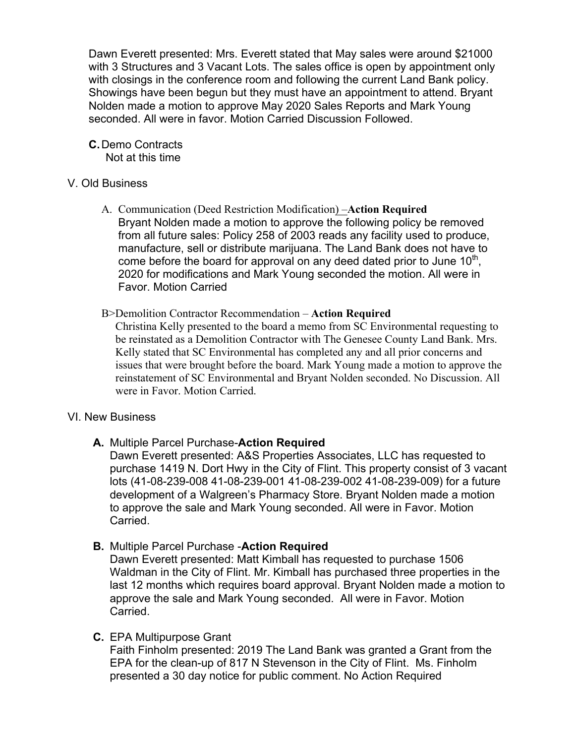Dawn Everett presented: Mrs. Everett stated that May sales were around \$21000 with 3 Structures and 3 Vacant Lots. The sales office is open by appointment only with closings in the conference room and following the current Land Bank policy. Showings have been begun but they must have an appointment to attend. Bryant Nolden made a motion to approve May 2020 Sales Reports and Mark Young seconded. All were in favor. Motion Carried Discussion Followed.

**C.** Demo Contracts Not at this time

## V. Old Business

- A. Communication (Deed Restriction Modification) –**Action Required** Bryant Nolden made a motion to approve the following policy be removed from all future sales: Policy 258 of 2003 reads any facility used to produce, manufacture, sell or distribute marijuana. The Land Bank does not have to come before the board for approval on any deed dated prior to June  $10<sup>th</sup>$ , 2020 for modifications and Mark Young seconded the motion. All were in Favor. Motion Carried
- B>Demolition Contractor Recommendation **Action Required**

Christina Kelly presented to the board a memo from SC Environmental requesting to be reinstated as a Demolition Contractor with The Genesee County Land Bank. Mrs. Kelly stated that SC Environmental has completed any and all prior concerns and issues that were brought before the board. Mark Young made a motion to approve the reinstatement of SC Environmental and Bryant Nolden seconded. No Discussion. All were in Favor. Motion Carried.

## VI. New Business

**A.** Multiple Parcel Purchase-**Action Required** 

Dawn Everett presented: A&S Properties Associates, LLC has requested to purchase 1419 N. Dort Hwy in the City of Flint. This property consist of 3 vacant lots (41-08-239-008 41-08-239-001 41-08-239-002 41-08-239-009) for a future development of a Walgreen's Pharmacy Store. Bryant Nolden made a motion to approve the sale and Mark Young seconded. All were in Favor. Motion Carried.

**B.** Multiple Parcel Purchase -**Action Required** 

Dawn Everett presented: Matt Kimball has requested to purchase 1506 Waldman in the City of Flint. Mr. Kimball has purchased three properties in the last 12 months which requires board approval. Bryant Nolden made a motion to approve the sale and Mark Young seconded. All were in Favor. Motion Carried.

**C.** EPA Multipurpose Grant

Faith Finholm presented: 2019 The Land Bank was granted a Grant from the EPA for the clean-up of 817 N Stevenson in the City of Flint. Ms. Finholm presented a 30 day notice for public comment. No Action Required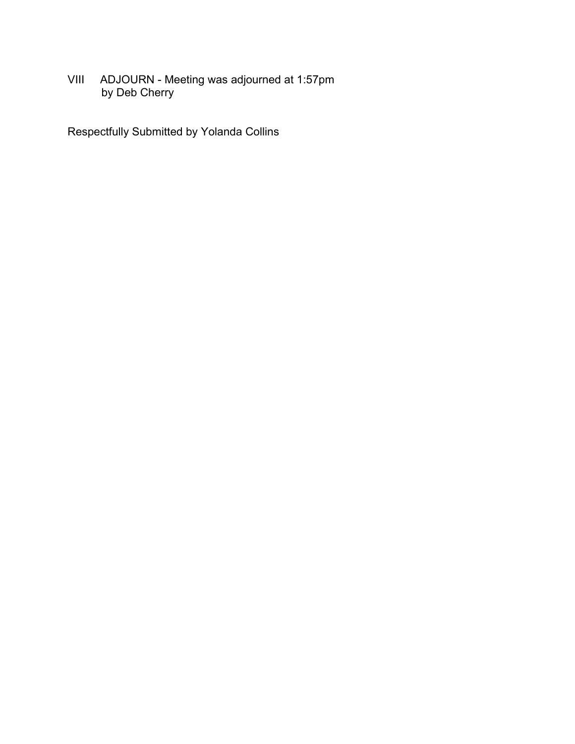VIII ADJOURN - Meeting was adjourned at 1:57pm by Deb Cherry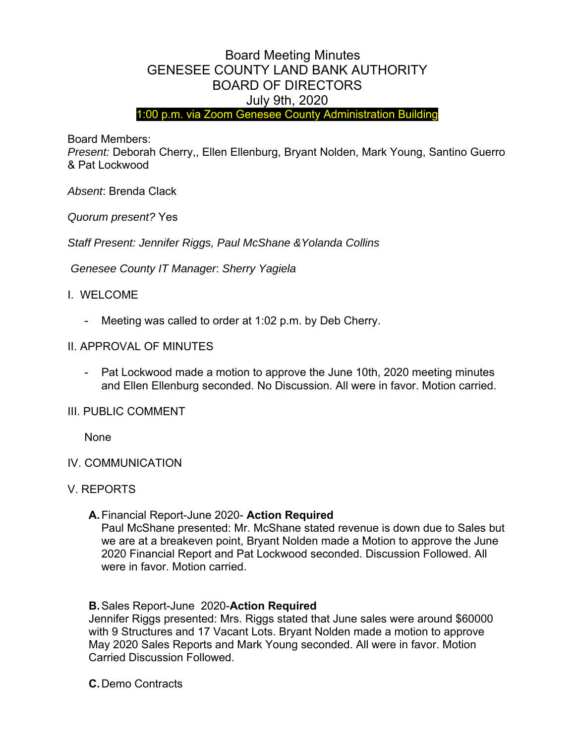# Board Meeting Minutes GENESEE COUNTY LAND BANK AUTHORITY BOARD OF DIRECTORS July 9th, 2020

1:00 p.m. via Zoom Genesee County Administration Building

Board Members:

*Present:* Deborah Cherry,, Ellen Ellenburg, Bryant Nolden, Mark Young, Santino Guerro & Pat Lockwood

*Absent*: Brenda Clack

*Quorum present?* Yes

*Staff Present: Jennifer Riggs, Paul McShane &Yolanda Collins* 

 *Genesee County IT Manager*: *Sherry Yagiela*

## I. WELCOME

Meeting was called to order at 1:02 p.m. by Deb Cherry.

### II. APPROVAL OF MINUTES

- Pat Lockwood made a motion to approve the June 10th, 2020 meeting minutes and Ellen Ellenburg seconded. No Discussion. All were in favor. Motion carried.

### III. PUBLIC COMMENT

None

### IV. COMMUNICATION

### V. REPORTS

### **A.** Financial Report-June 2020- **Action Required**

Paul McShane presented: Mr. McShane stated revenue is down due to Sales but we are at a breakeven point, Bryant Nolden made a Motion to approve the June 2020 Financial Report and Pat Lockwood seconded. Discussion Followed. All were in favor. Motion carried.

### **B.** Sales Report-June 2020-**Action Required**

Jennifer Riggs presented: Mrs. Riggs stated that June sales were around \$60000 with 9 Structures and 17 Vacant Lots. Bryant Nolden made a motion to approve May 2020 Sales Reports and Mark Young seconded. All were in favor. Motion Carried Discussion Followed.

**C.** Demo Contracts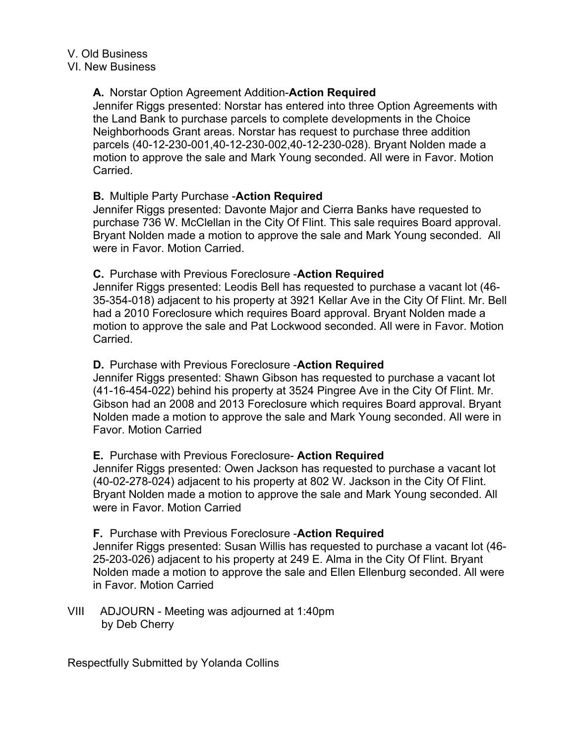# **A.** Norstar Option Agreement Addition-**Action Required**

Jennifer Riggs presented: Norstar has entered into three Option Agreements with the Land Bank to purchase parcels to complete developments in the Choice Neighborhoods Grant areas. Norstar has request to purchase three addition parcels (40-12-230-001,40-12-230-002,40-12-230-028). Bryant Nolden made a motion to approve the sale and Mark Young seconded. All were in Favor. Motion Carried.

# **B.** Multiple Party Purchase -**Action Required**

Jennifer Riggs presented: Davonte Major and Cierra Banks have requested to purchase 736 W. McClellan in the City Of Flint. This sale requires Board approval. Bryant Nolden made a motion to approve the sale and Mark Young seconded. All were in Favor. Motion Carried.

# **C.** Purchase with Previous Foreclosure -**Action Required**

Jennifer Riggs presented: Leodis Bell has requested to purchase a vacant lot (46- 35-354-018) adjacent to his property at 3921 Kellar Ave in the City Of Flint. Mr. Bell had a 2010 Foreclosure which requires Board approval. Bryant Nolden made a motion to approve the sale and Pat Lockwood seconded. All were in Favor. Motion Carried.

# **D.** Purchase with Previous Foreclosure -**Action Required**

Jennifer Riggs presented: Shawn Gibson has requested to purchase a vacant lot (41-16-454-022) behind his property at 3524 Pingree Ave in the City Of Flint. Mr. Gibson had an 2008 and 2013 Foreclosure which requires Board approval. Bryant Nolden made a motion to approve the sale and Mark Young seconded. All were in Favor. Motion Carried

## **E.** Purchase with Previous Foreclosure- **Action Required**

Jennifer Riggs presented: Owen Jackson has requested to purchase a vacant lot (40-02-278-024) adjacent to his property at 802 W. Jackson in the City Of Flint. Bryant Nolden made a motion to approve the sale and Mark Young seconded. All were in Favor. Motion Carried

## **F.** Purchase with Previous Foreclosure -**Action Required**

Jennifer Riggs presented: Susan Willis has requested to purchase a vacant lot (46- 25-203-026) adjacent to his property at 249 E. Alma in the City Of Flint. Bryant Nolden made a motion to approve the sale and Ellen Ellenburg seconded. All were in Favor. Motion Carried

VIII ADJOURN - Meeting was adjourned at 1:40pm by Deb Cherry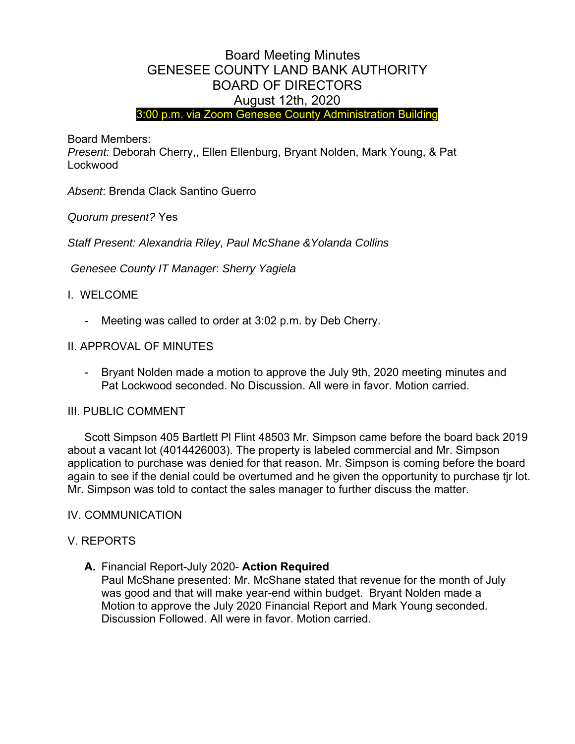# Board Meeting Minutes GENESEE COUNTY LAND BANK AUTHORITY BOARD OF DIRECTORS August 12th, 2020

3:00 p.m. via Zoom Genesee County Administration Building

Board Members:

*Present:* Deborah Cherry,, Ellen Ellenburg, Bryant Nolden, Mark Young, & Pat Lockwood

*Absent*: Brenda Clack Santino Guerro

*Quorum present?* Yes

Staff Present: Alexandria Riley, Paul McShane & Yolanda Collins

 *Genesee County IT Manager*: *Sherry Yagiela*

# I. WELCOME

Meeting was called to order at 3:02 p.m. by Deb Cherry.

# II. APPROVAL OF MINUTES

- Bryant Nolden made a motion to approve the July 9th, 2020 meeting minutes and Pat Lockwood seconded. No Discussion. All were in favor. Motion carried.

## III. PUBLIC COMMENT

 Scott Simpson 405 Bartlett Pl Flint 48503 Mr. Simpson came before the board back 2019 about a vacant lot (4014426003). The property is labeled commercial and Mr. Simpson application to purchase was denied for that reason. Mr. Simpson is coming before the board again to see if the denial could be overturned and he given the opportunity to purchase tjr lot. Mr. Simpson was told to contact the sales manager to further discuss the matter.

## IV. COMMUNICATION

## V. REPORTS

## **A.** Financial Report-July 2020- **Action Required**

Paul McShane presented: Mr. McShane stated that revenue for the month of July was good and that will make year-end within budget. Bryant Nolden made a Motion to approve the July 2020 Financial Report and Mark Young seconded. Discussion Followed. All were in favor. Motion carried.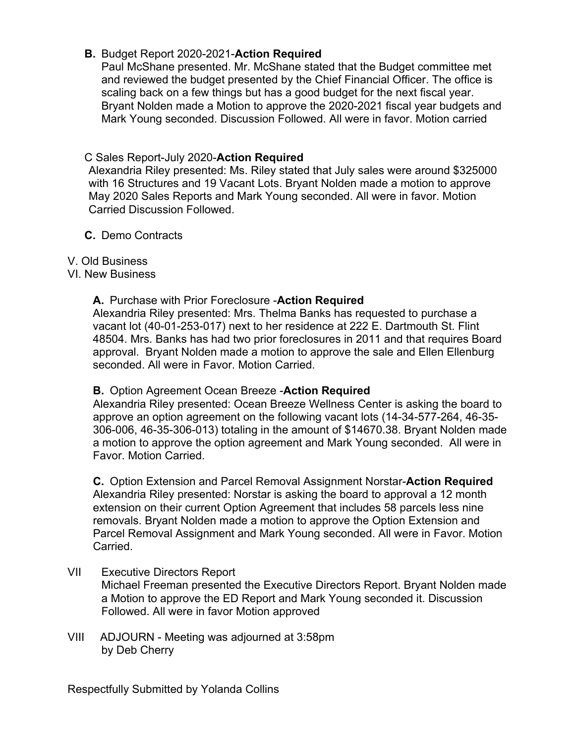# **B.** Budget Report 2020-2021-**Action Required**

Paul McShane presented. Mr. McShane stated that the Budget committee met and reviewed the budget presented by the Chief Financial Officer. The office is scaling back on a few things but has a good budget for the next fiscal year. Bryant Nolden made a Motion to approve the 2020-2021 fiscal year budgets and Mark Young seconded. Discussion Followed. All were in favor. Motion carried

# C Sales Report-July 2020-**Action Required**

Alexandria Riley presented: Ms. Riley stated that July sales were around \$325000 with 16 Structures and 19 Vacant Lots. Bryant Nolden made a motion to approve May 2020 Sales Reports and Mark Young seconded. All were in favor. Motion Carried Discussion Followed.

## **C.** Demo Contracts

# V. Old Business

# VI. New Business

## **A.** Purchase with Prior Foreclosure -**Action Required**

Alexandria Riley presented: Mrs. Thelma Banks has requested to purchase a vacant lot (40-01-253-017) next to her residence at 222 E. Dartmouth St. Flint 48504. Mrs. Banks has had two prior foreclosures in 2011 and that requires Board approval. Bryant Nolden made a motion to approve the sale and Ellen Ellenburg seconded. All were in Favor. Motion Carried.

## **B.** Option Agreement Ocean Breeze -**Action Required**

Alexandria Riley presented: Ocean Breeze Wellness Center is asking the board to approve an option agreement on the following vacant lots (14-34-577-264, 46-35- 306-006, 46-35-306-013) totaling in the amount of \$14670.38. Bryant Nolden made a motion to approve the option agreement and Mark Young seconded. All were in Favor. Motion Carried.

**C.** Option Extension and Parcel Removal Assignment Norstar-**Action Required**  Alexandria Riley presented: Norstar is asking the board to approval a 12 month extension on their current Option Agreement that includes 58 parcels less nine removals. Bryant Nolden made a motion to approve the Option Extension and Parcel Removal Assignment and Mark Young seconded. All were in Favor. Motion Carried.

- VII Executive Directors Report Michael Freeman presented the Executive Directors Report. Bryant Nolden made a Motion to approve the ED Report and Mark Young seconded it. Discussion Followed. All were in favor Motion approved
- VIII ADJOURN Meeting was adjourned at 3:58pm by Deb Cherry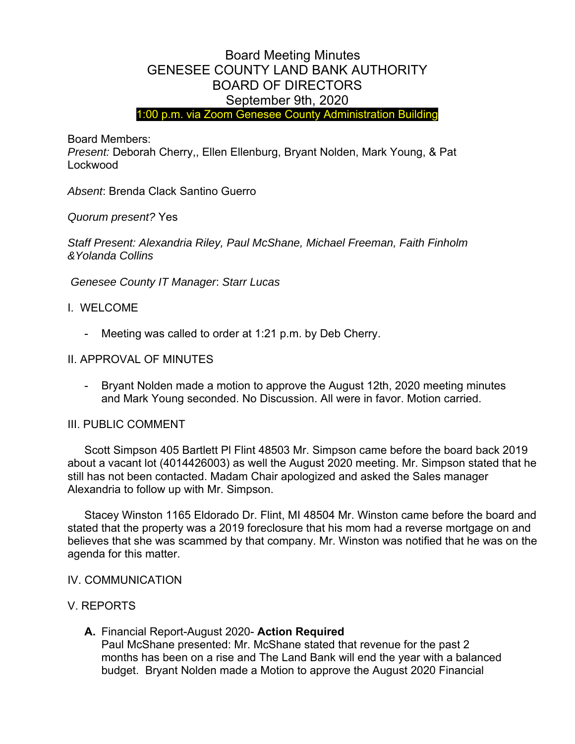# Board Meeting Minutes GENESEE COUNTY LAND BANK AUTHORITY BOARD OF DIRECTORS September 9th, 2020

1:00 p.m. via Zoom Genesee County Administration Building

Board Members:

*Present:* Deborah Cherry,, Ellen Ellenburg, Bryant Nolden, Mark Young, & Pat Lockwood

*Absent*: Brenda Clack Santino Guerro

*Quorum present?* Yes

*Staff Present: Alexandria Riley, Paul McShane, Michael Freeman, Faith Finholm &Yolanda Collins* 

 *Genesee County IT Manager*: *Starr Lucas*

### I. WELCOME

Meeting was called to order at 1:21 p.m. by Deb Cherry.

### II. APPROVAL OF MINUTES

- Bryant Nolden made a motion to approve the August 12th, 2020 meeting minutes and Mark Young seconded. No Discussion. All were in favor. Motion carried.

### III. PUBLIC COMMENT

 Scott Simpson 405 Bartlett Pl Flint 48503 Mr. Simpson came before the board back 2019 about a vacant lot (4014426003) as well the August 2020 meeting. Mr. Simpson stated that he still has not been contacted. Madam Chair apologized and asked the Sales manager Alexandria to follow up with Mr. Simpson.

 Stacey Winston 1165 Eldorado Dr. Flint, MI 48504 Mr. Winston came before the board and stated that the property was a 2019 foreclosure that his mom had a reverse mortgage on and believes that she was scammed by that company. Mr. Winston was notified that he was on the agenda for this matter.

### IV. COMMUNICATION

### V. REPORTS

**A.** Financial Report-August 2020- **Action Required** Paul McShane presented: Mr. McShane stated that revenue for the past 2 months has been on a rise and The Land Bank will end the year with a balanced budget. Bryant Nolden made a Motion to approve the August 2020 Financial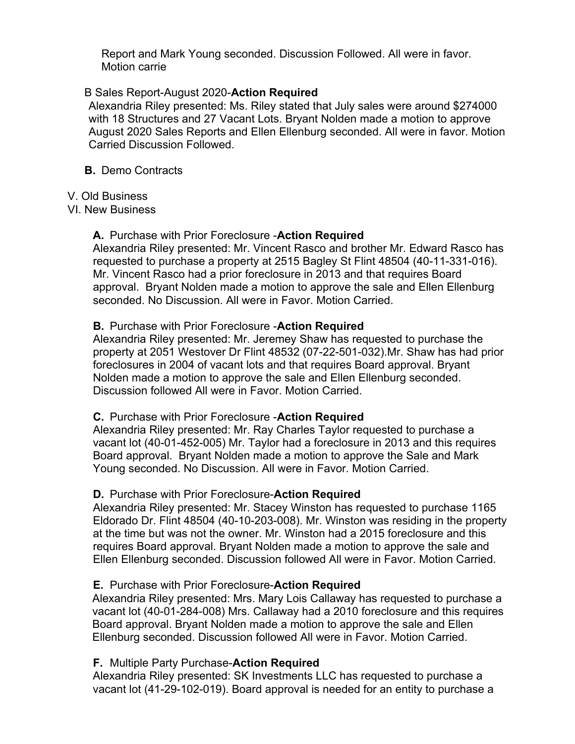Report and Mark Young seconded. Discussion Followed. All were in favor. Motion carrie

### B Sales Report-August 2020-**Action Required**

Alexandria Riley presented: Ms. Riley stated that July sales were around \$274000 with 18 Structures and 27 Vacant Lots. Bryant Nolden made a motion to approve August 2020 Sales Reports and Ellen Ellenburg seconded. All were in favor. Motion Carried Discussion Followed.

### **B.** Demo Contracts

### V. Old Business

### VI. New Business

## **A.** Purchase with Prior Foreclosure -**Action Required**

Alexandria Riley presented: Mr. Vincent Rasco and brother Mr. Edward Rasco has requested to purchase a property at 2515 Bagley St Flint 48504 (40-11-331-016). Mr. Vincent Rasco had a prior foreclosure in 2013 and that requires Board approval. Bryant Nolden made a motion to approve the sale and Ellen Ellenburg seconded. No Discussion. All were in Favor. Motion Carried.

### **B.** Purchase with Prior Foreclosure -**Action Required**

Alexandria Riley presented: Mr. Jeremey Shaw has requested to purchase the property at 2051 Westover Dr Flint 48532 (07-22-501-032).Mr. Shaw has had prior foreclosures in 2004 of vacant lots and that requires Board approval. Bryant Nolden made a motion to approve the sale and Ellen Ellenburg seconded. Discussion followed All were in Favor. Motion Carried.

## **C.** Purchase with Prior Foreclosure -**Action Required**

Alexandria Riley presented: Mr. Ray Charles Taylor requested to purchase a vacant lot (40-01-452-005) Mr. Taylor had a foreclosure in 2013 and this requires Board approval. Bryant Nolden made a motion to approve the Sale and Mark Young seconded. No Discussion. All were in Favor. Motion Carried.

## **D.** Purchase with Prior Foreclosure-**Action Required**

Alexandria Riley presented: Mr. Stacey Winston has requested to purchase 1165 Eldorado Dr. Flint 48504 (40-10-203-008). Mr. Winston was residing in the property at the time but was not the owner. Mr. Winston had a 2015 foreclosure and this requires Board approval. Bryant Nolden made a motion to approve the sale and Ellen Ellenburg seconded. Discussion followed All were in Favor. Motion Carried.

## **E.** Purchase with Prior Foreclosure-**Action Required**

Alexandria Riley presented: Mrs. Mary Lois Callaway has requested to purchase a vacant lot (40-01-284-008) Mrs. Callaway had a 2010 foreclosure and this requires Board approval. Bryant Nolden made a motion to approve the sale and Ellen Ellenburg seconded. Discussion followed All were in Favor. Motion Carried.

### **F.** Multiple Party Purchase-**Action Required**

Alexandria Riley presented: SK Investments LLC has requested to purchase a vacant lot (41-29-102-019). Board approval is needed for an entity to purchase a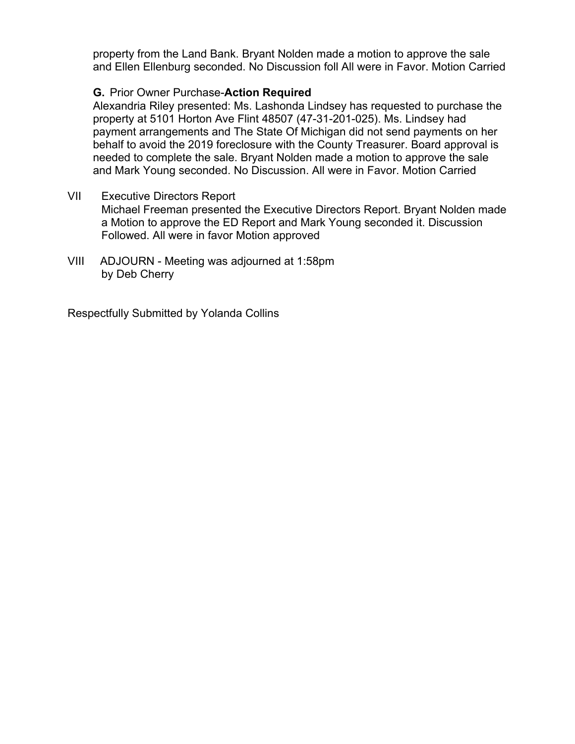property from the Land Bank. Bryant Nolden made a motion to approve the sale and Ellen Ellenburg seconded. No Discussion foll All were in Favor. Motion Carried

# **G.** Prior Owner Purchase-**Action Required**

Alexandria Riley presented: Ms. Lashonda Lindsey has requested to purchase the property at 5101 Horton Ave Flint 48507 (47-31-201-025). Ms. Lindsey had payment arrangements and The State Of Michigan did not send payments on her behalf to avoid the 2019 foreclosure with the County Treasurer. Board approval is needed to complete the sale. Bryant Nolden made a motion to approve the sale and Mark Young seconded. No Discussion. All were in Favor. Motion Carried

- VII Executive Directors Report Michael Freeman presented the Executive Directors Report. Bryant Nolden made a Motion to approve the ED Report and Mark Young seconded it. Discussion Followed. All were in favor Motion approved
- VIII ADJOURN Meeting was adjourned at 1:58pm by Deb Cherry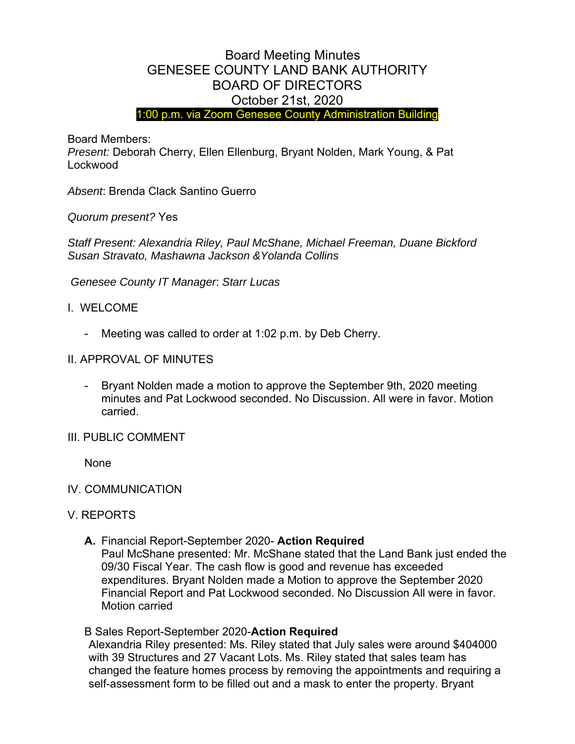# Board Meeting Minutes GENESEE COUNTY LAND BANK AUTHORITY BOARD OF DIRECTORS October 21st, 2020

1:00 p.m. via Zoom Genesee County Administration Building

Board Members:

*Present:* Deborah Cherry, Ellen Ellenburg, Bryant Nolden, Mark Young, & Pat Lockwood

*Absent*: Brenda Clack Santino Guerro

*Quorum present?* Yes

*Staff Present: Alexandria Riley, Paul McShane, Michael Freeman, Duane Bickford Susan Stravato, Mashawna Jackson &Yolanda Collins* 

 *Genesee County IT Manager*: *Starr Lucas*

- I. WELCOME
	- Meeting was called to order at 1:02 p.m. by Deb Cherry.
- II. APPROVAL OF MINUTES
	- Bryant Nolden made a motion to approve the September 9th, 2020 meeting minutes and Pat Lockwood seconded. No Discussion. All were in favor. Motion carried.
- III. PUBLIC COMMENT

None

- IV. COMMUNICATION
- V. REPORTS
	- **A.** Financial Report-September 2020- **Action Required** Paul McShane presented: Mr. McShane stated that the Land Bank just ended the 09/30 Fiscal Year. The cash flow is good and revenue has exceeded expenditures. Bryant Nolden made a Motion to approve the September 2020 Financial Report and Pat Lockwood seconded. No Discussion All were in favor.

Motion carried

B Sales Report-September 2020-**Action Required**

Alexandria Riley presented: Ms. Riley stated that July sales were around \$404000 with 39 Structures and 27 Vacant Lots. Ms. Riley stated that sales team has changed the feature homes process by removing the appointments and requiring a self-assessment form to be filled out and a mask to enter the property. Bryant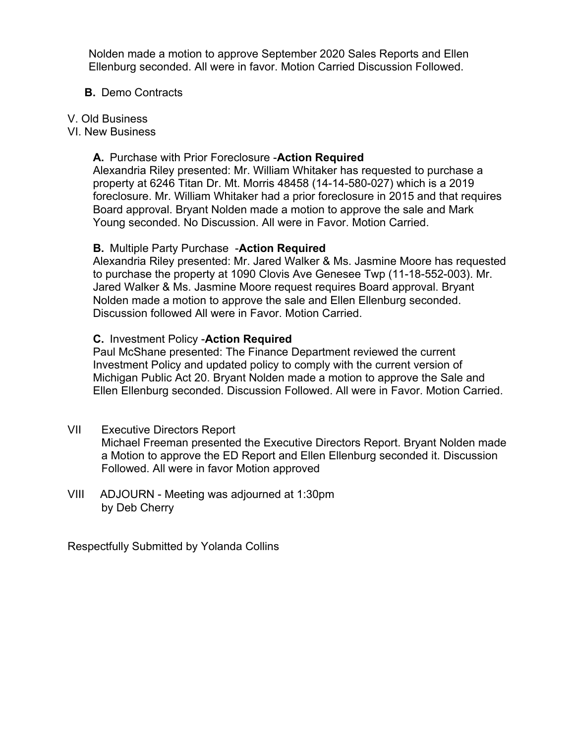Nolden made a motion to approve September 2020 Sales Reports and Ellen Ellenburg seconded. All were in favor. Motion Carried Discussion Followed.

### **B.** Demo Contracts

#### V. Old Business

VI. New Business

### **A.** Purchase with Prior Foreclosure -**Action Required**

Alexandria Riley presented: Mr. William Whitaker has requested to purchase a property at 6246 Titan Dr. Mt. Morris 48458 (14-14-580-027) which is a 2019 foreclosure. Mr. William Whitaker had a prior foreclosure in 2015 and that requires Board approval. Bryant Nolden made a motion to approve the sale and Mark Young seconded. No Discussion. All were in Favor. Motion Carried.

### **B.** Multiple Party Purchase -**Action Required**

Alexandria Riley presented: Mr. Jared Walker & Ms. Jasmine Moore has requested to purchase the property at 1090 Clovis Ave Genesee Twp (11-18-552-003). Mr. Jared Walker & Ms. Jasmine Moore request requires Board approval. Bryant Nolden made a motion to approve the sale and Ellen Ellenburg seconded. Discussion followed All were in Favor. Motion Carried.

### **C.** Investment Policy -**Action Required**

Paul McShane presented: The Finance Department reviewed the current Investment Policy and updated policy to comply with the current version of Michigan Public Act 20. Bryant Nolden made a motion to approve the Sale and Ellen Ellenburg seconded. Discussion Followed. All were in Favor. Motion Carried.

## VII Executive Directors Report

Michael Freeman presented the Executive Directors Report. Bryant Nolden made a Motion to approve the ED Report and Ellen Ellenburg seconded it. Discussion Followed. All were in favor Motion approved

VIII ADJOURN - Meeting was adjourned at 1:30pm by Deb Cherry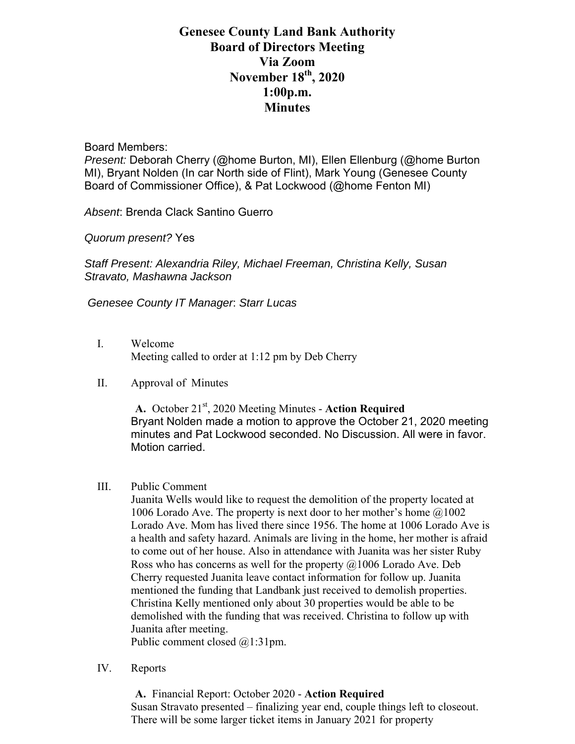# **Genesee County Land Bank Authority Board of Directors Meeting Via Zoom November 18th, 2020 1:00p.m. Minutes**

Board Members:

*Present:* Deborah Cherry (@home Burton, MI), Ellen Ellenburg (@home Burton MI), Bryant Nolden (In car North side of Flint), Mark Young (Genesee County Board of Commissioner Office), & Pat Lockwood (@home Fenton MI)

*Absent*: Brenda Clack Santino Guerro

*Quorum present?* Yes

*Staff Present: Alexandria Riley, Michael Freeman, Christina Kelly, Susan Stravato, Mashawna Jackson* 

 *Genesee County IT Manager*: *Starr Lucas*

- I. Welcome Meeting called to order at 1:12 pm by Deb Cherry
- II. Approval of Minutes

**A.** October 21st, 2020 Meeting Minutes - **Action Required** Bryant Nolden made a motion to approve the October 21, 2020 meeting minutes and Pat Lockwood seconded. No Discussion. All were in favor. Motion carried.

#### III. Public Comment

Juanita Wells would like to request the demolition of the property located at 1006 Lorado Ave. The property is next door to her mother's home  $@1002$ Lorado Ave. Mom has lived there since 1956. The home at 1006 Lorado Ave is a health and safety hazard. Animals are living in the home, her mother is afraid to come out of her house. Also in attendance with Juanita was her sister Ruby Ross who has concerns as well for the property  $(a)$ 1006 Lorado Ave. Deb Cherry requested Juanita leave contact information for follow up. Juanita mentioned the funding that Landbank just received to demolish properties. Christina Kelly mentioned only about 30 properties would be able to be demolished with the funding that was received. Christina to follow up with Juanita after meeting.

Public comment closed @1:31pm.

IV. Reports

**A.** Financial Report: October 2020 - **Action Required** Susan Stravato presented – finalizing year end, couple things left to closeout. There will be some larger ticket items in January 2021 for property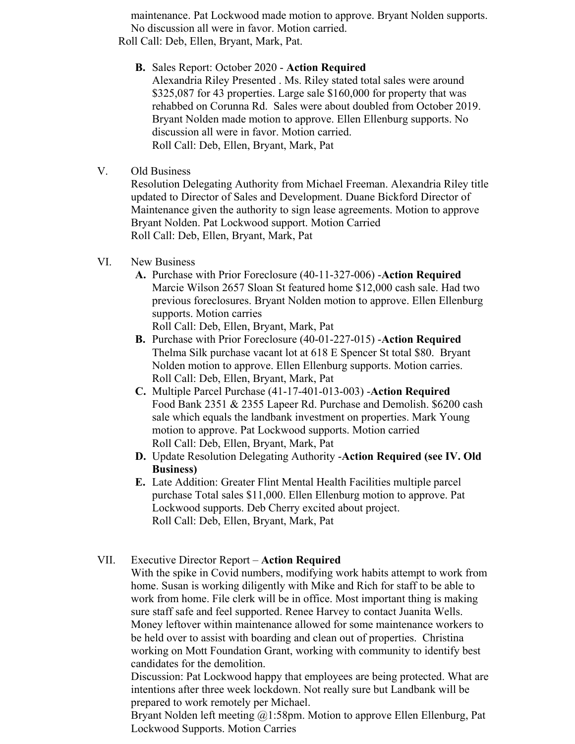maintenance. Pat Lockwood made motion to approve. Bryant Nolden supports. No discussion all were in favor. Motion carried. Roll Call: Deb, Ellen, Bryant, Mark, Pat.

### **B.** Sales Report: October 2020 - **Action Required**

Alexandria Riley Presented . Ms. Riley stated total sales were around \$325,087 for 43 properties. Large sale \$160,000 for property that was rehabbed on Corunna Rd. Sales were about doubled from October 2019. Bryant Nolden made motion to approve. Ellen Ellenburg supports. No discussion all were in favor. Motion carried. Roll Call: Deb, Ellen, Bryant, Mark, Pat

### V. Old Business

Resolution Delegating Authority from Michael Freeman. Alexandria Riley title updated to Director of Sales and Development. Duane Bickford Director of Maintenance given the authority to sign lease agreements. Motion to approve Bryant Nolden. Pat Lockwood support. Motion Carried Roll Call: Deb, Ellen, Bryant, Mark, Pat

### VI. New Business

**A.** Purchase with Prior Foreclosure (40-11-327-006) -**Action Required** Marcie Wilson 2657 Sloan St featured home \$12,000 cash sale. Had two previous foreclosures. Bryant Nolden motion to approve. Ellen Ellenburg supports. Motion carries

Roll Call: Deb, Ellen, Bryant, Mark, Pat

- **B.** Purchase with Prior Foreclosure (40-01-227-015) -**Action Required** Thelma Silk purchase vacant lot at 618 E Spencer St total \$80. Bryant Nolden motion to approve. Ellen Ellenburg supports. Motion carries. Roll Call: Deb, Ellen, Bryant, Mark, Pat
- **C.** Multiple Parcel Purchase (41-17-401-013-003) -**Action Required** Food Bank 2351 & 2355 Lapeer Rd. Purchase and Demolish. \$6200 cash sale which equals the landbank investment on properties. Mark Young motion to approve. Pat Lockwood supports. Motion carried Roll Call: Deb, Ellen, Bryant, Mark, Pat
- **D.** Update Resolution Delegating Authority -**Action Required (see IV. Old Business)**
- **E.** Late Addition: Greater Flint Mental Health Facilities multiple parcel purchase Total sales \$11,000. Ellen Ellenburg motion to approve. Pat Lockwood supports. Deb Cherry excited about project. Roll Call: Deb, Ellen, Bryant, Mark, Pat

## VII. Executive Director Report – **Action Required**

With the spike in Covid numbers, modifying work habits attempt to work from home. Susan is working diligently with Mike and Rich for staff to be able to work from home. File clerk will be in office. Most important thing is making sure staff safe and feel supported. Renee Harvey to contact Juanita Wells. Money leftover within maintenance allowed for some maintenance workers to be held over to assist with boarding and clean out of properties. Christina working on Mott Foundation Grant, working with community to identify best candidates for the demolition.

Discussion: Pat Lockwood happy that employees are being protected. What are intentions after three week lockdown. Not really sure but Landbank will be prepared to work remotely per Michael.

Bryant Nolden left meeting @1:58pm. Motion to approve Ellen Ellenburg, Pat Lockwood Supports. Motion Carries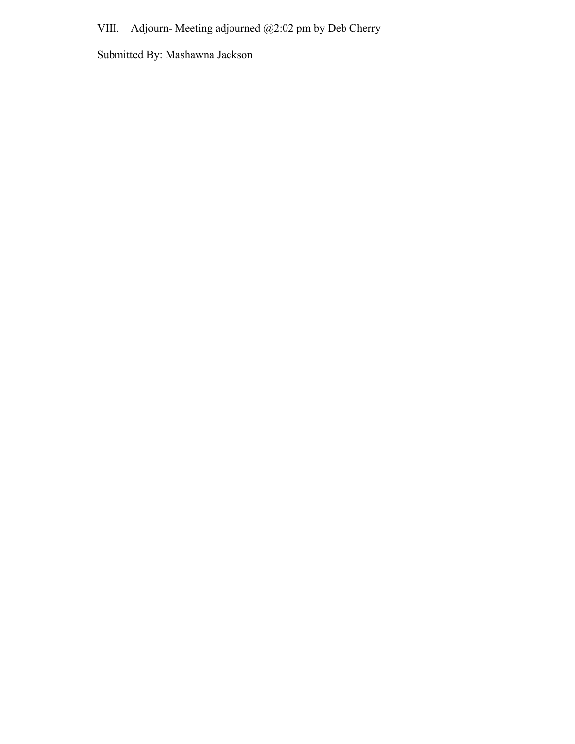VIII. Adjourn- Meeting adjourned @2:02 pm by Deb Cherry

Submitted By: Mashawna Jackson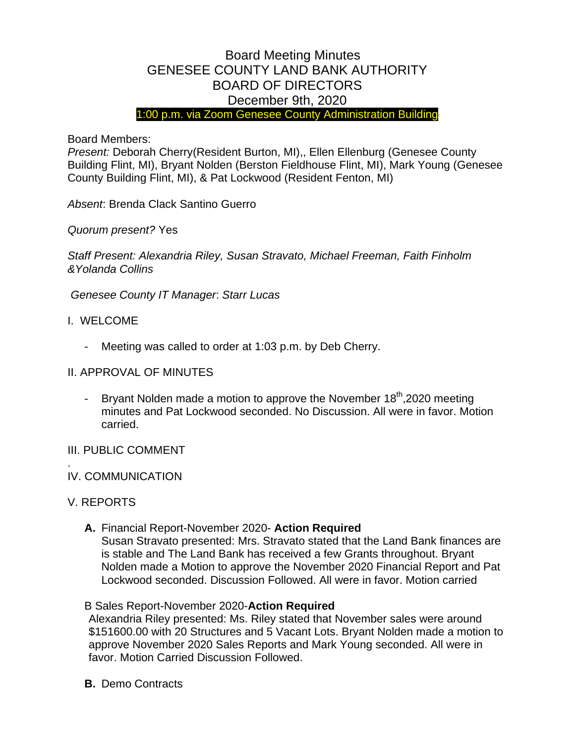# Board Meeting Minutes GENESEE COUNTY LAND BANK AUTHORITY BOARD OF DIRECTORS December 9th, 2020

1:00 p.m. via Zoom Genesee County Administration Building

Board Members:

*Present:* Deborah Cherry(Resident Burton, MI),, Ellen Ellenburg (Genesee County Building Flint, MI), Bryant Nolden (Berston Fieldhouse Flint, MI), Mark Young (Genesee County Building Flint, MI), & Pat Lockwood (Resident Fenton, MI)

*Absent*: Brenda Clack Santino Guerro

*Quorum present?* Yes

*Staff Present: Alexandria Riley, Susan Stravato, Michael Freeman, Faith Finholm &Yolanda Collins*

*Genesee County IT Manager*: *Starr Lucas*

- I. WELCOME
	- Meeting was called to order at 1:03 p.m. by Deb Cherry.
- II. APPROVAL OF MINUTES
	- Bryant Nolden made a motion to approve the November  $18<sup>th</sup>$ , 2020 meeting minutes and Pat Lockwood seconded. No Discussion. All were in favor. Motion carried.
- III. PUBLIC COMMENT
- IV. COMMUNICATION
- V. REPORTS

.

**A.** Financial Report-November 2020- **Action Required** Susan Stravato presented: Mrs. Stravato stated that the Land Bank finances are is stable and The Land Bank has received a few Grants throughout. Bryant Nolden made a Motion to approve the November 2020 Financial Report and Pat Lockwood seconded. Discussion Followed. All were in favor. Motion carried

### B Sales Report-November 2020-**Action Required**

Alexandria Riley presented: Ms. Riley stated that November sales were around \$151600.00 with 20 Structures and 5 Vacant Lots. Bryant Nolden made a motion to approve November 2020 Sales Reports and Mark Young seconded. All were in favor. Motion Carried Discussion Followed.

**B.** Demo Contracts